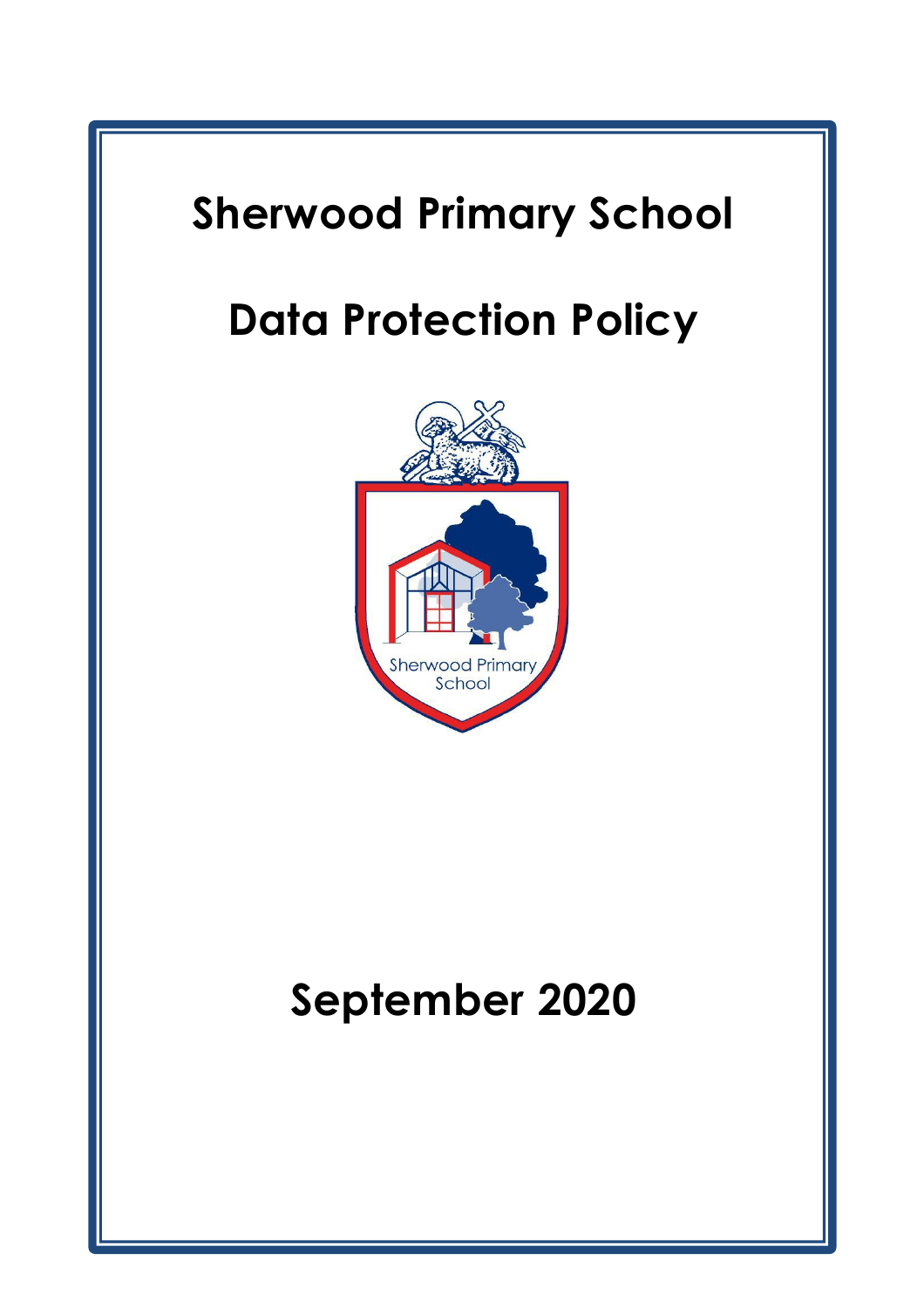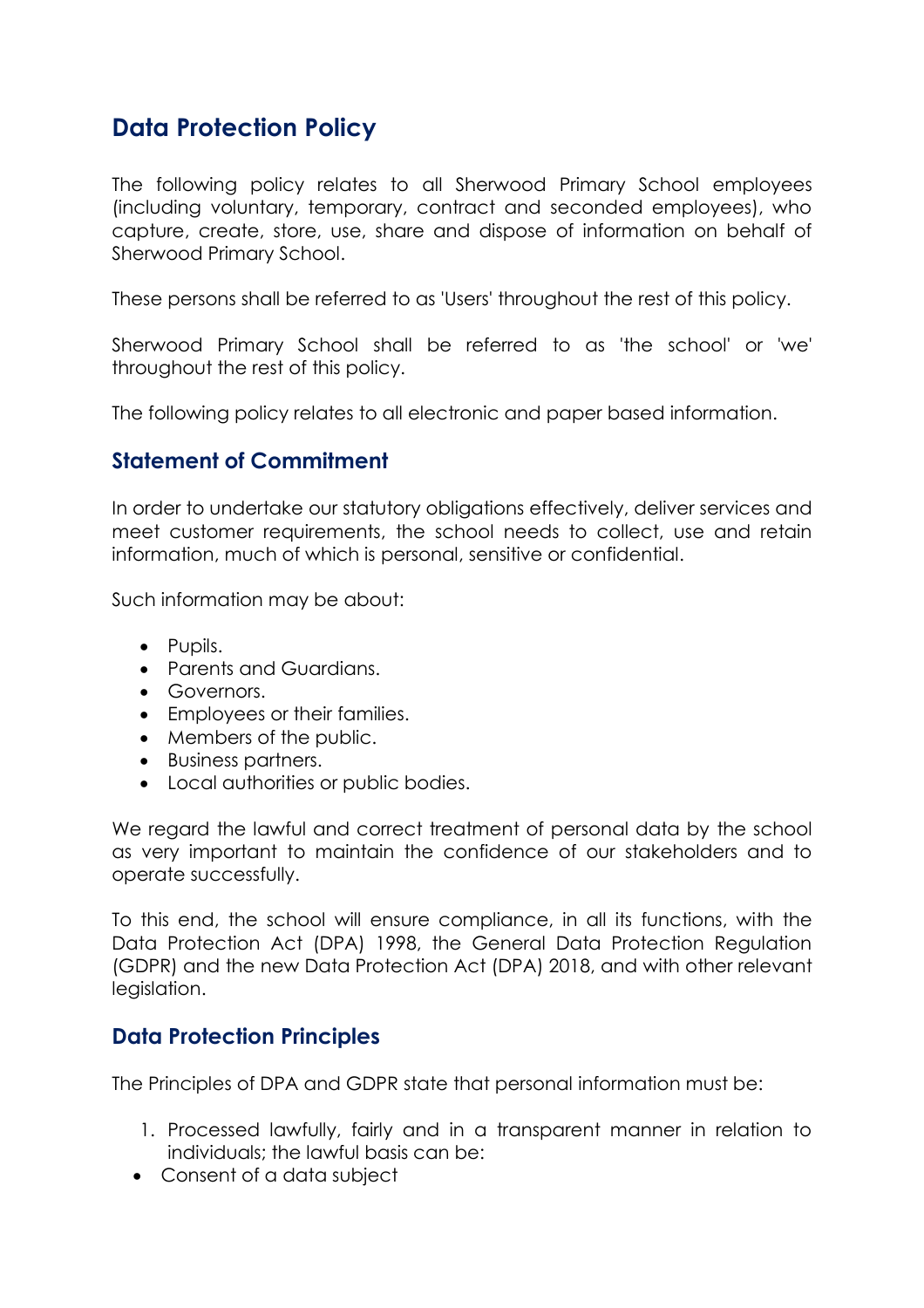# **Data Protection Policy**

The following policy relates to all Sherwood Primary School employees (including voluntary, temporary, contract and seconded employees), who capture, create, store, use, share and dispose of information on behalf of Sherwood Primary School.

These persons shall be referred to as 'Users' throughout the rest of this policy.

Sherwood Primary School shall be referred to as 'the school' or 'we' throughout the rest of this policy.

The following policy relates to all electronic and paper based information.

## **Statement of Commitment**

In order to undertake our statutory obligations effectively, deliver services and meet customer requirements, the school needs to collect, use and retain information, much of which is personal, sensitive or confidential.

Such information may be about:

- Pupils.
- Parents and Guardians.
- Governors.
- Employees or their families.
- Members of the public.
- Business partners.
- Local authorities or public bodies.

We regard the lawful and correct treatment of personal data by the school as very important to maintain the confidence of our stakeholders and to operate successfully.

To this end, the school will ensure compliance, in all its functions, with the Data Protection Act (DPA) 1998, the General Data Protection Regulation (GDPR) and the new Data Protection Act (DPA) 2018, and with other relevant legislation.

### **Data Protection Principles**

The Principles of DPA and GDPR state that personal information must be:

- 1. Processed lawfully, fairly and in a transparent manner in relation to individuals; the lawful basis can be:
- Consent of a data subject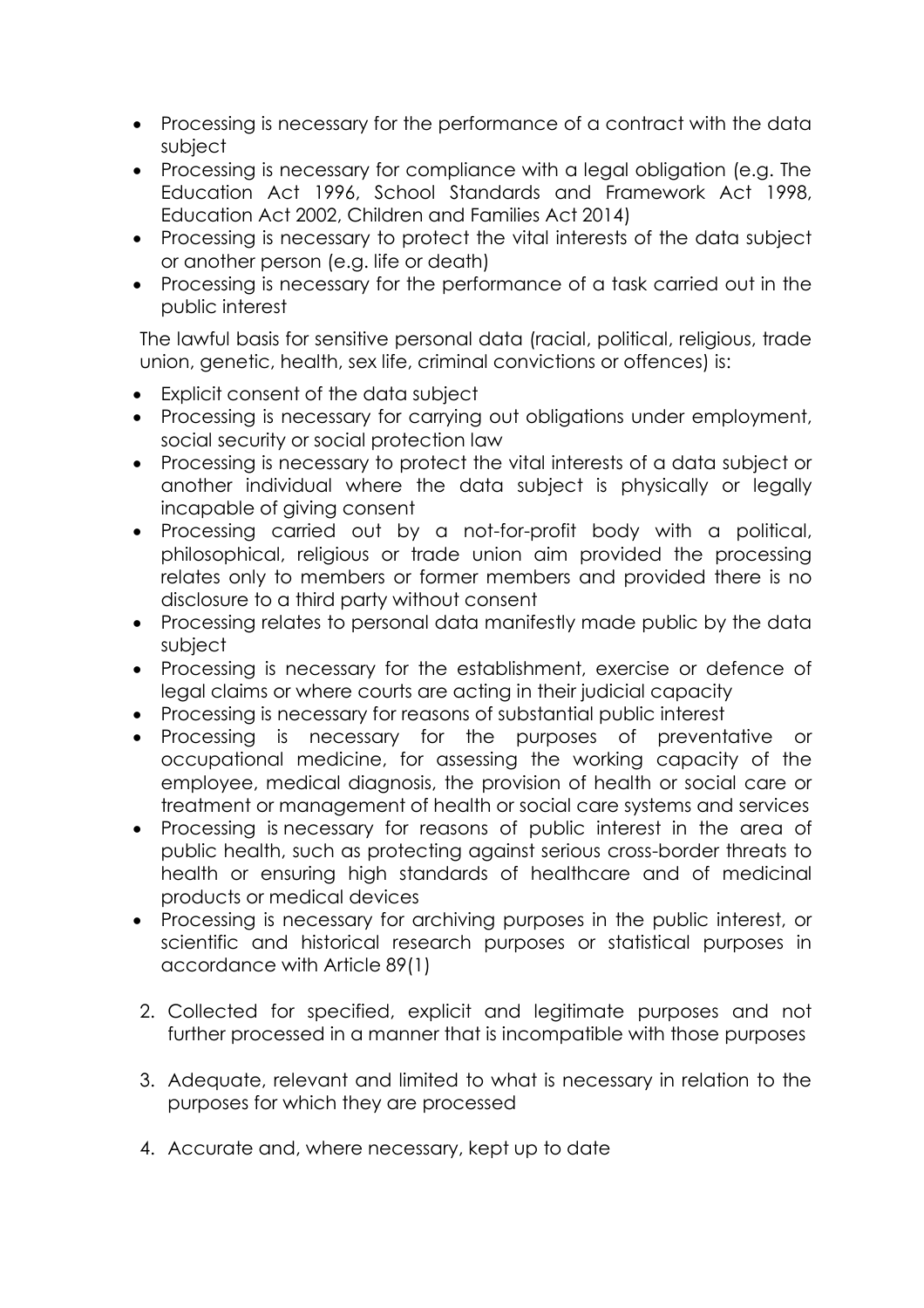- Processing is necessary for the performance of a contract with the data subject
- Processing is necessary for compliance with a legal obligation (e.g. The Education Act 1996, School Standards and Framework Act 1998, Education Act 2002, Children and Families Act 2014)
- Processing is necessary to protect the vital interests of the data subject or another person (e.g. life or death)
- Processing is necessary for the performance of a task carried out in the public interest

The lawful basis for sensitive personal data (racial, political, religious, trade union, genetic, health, sex life, criminal convictions or offences) is:

- Explicit consent of the data subject
- Processing is necessary for carrying out obligations under employment, social security or social protection law
- Processing is necessary to protect the vital interests of a data subject or another individual where the data subject is physically or legally incapable of giving consent
- Processing carried out by a not-for-profit body with a political, philosophical, religious or trade union aim provided the processing relates only to members or former members and provided there is no disclosure to a third party without consent
- Processing relates to personal data manifestly made public by the data subject
- Processing is necessary for the establishment, exercise or defence of legal claims or where courts are acting in their judicial capacity
- Processing is necessary for reasons of substantial public interest
- Processing is necessary for the purposes of preventative or occupational medicine, for assessing the working capacity of the employee, medical diagnosis, the provision of health or social care or treatment or management of health or social care systems and services
- Processing is necessary for reasons of public interest in the area of public health, such as protecting against serious cross-border threats to health or ensuring high standards of healthcare and of medicinal products or medical devices
- Processing is necessary for archiving purposes in the public interest, or scientific and historical research purposes or statistical purposes in accordance with Article 89(1)
- 2. Collected for specified, explicit and legitimate purposes and not further processed in a manner that is incompatible with those purposes
- 3. Adequate, relevant and limited to what is necessary in relation to the purposes for which they are processed
- 4. Accurate and, where necessary, kept up to date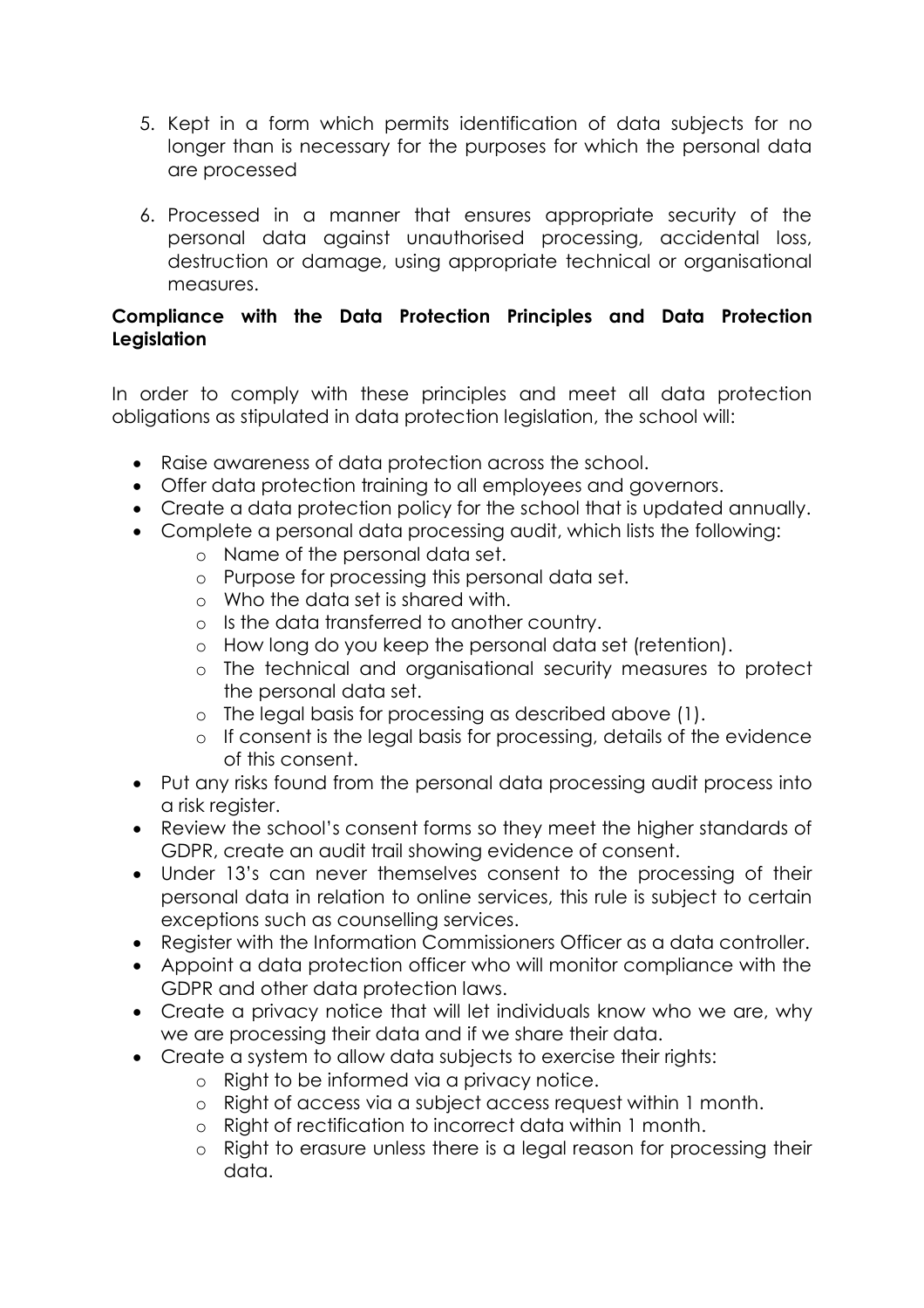- 5. Kept in a form which permits identification of data subjects for no longer than is necessary for the purposes for which the personal data are processed
- 6. Processed in a manner that ensures appropriate security of the personal data against unauthorised processing, accidental loss, destruction or damage, using appropriate technical or organisational measures.

### **Compliance with the Data Protection Principles and Data Protection Legislation**

In order to comply with these principles and meet all data protection obligations as stipulated in data protection legislation, the school will:

- Raise awareness of data protection across the school.
- Offer data protection training to all employees and governors.
- Create a data protection policy for the school that is updated annually.
- Complete a personal data processing audit, which lists the following:
	- o Name of the personal data set.
	- o Purpose for processing this personal data set.
	- o Who the data set is shared with.
	- o Is the data transferred to another country.
	- o How long do you keep the personal data set (retention).
	- o The technical and organisational security measures to protect the personal data set.
	- o The legal basis for processing as described above (1).
	- o If consent is the legal basis for processing, details of the evidence of this consent.
- Put any risks found from the personal data processing audit process into a risk register.
- Review the school's consent forms so they meet the higher standards of GDPR, create an audit trail showing evidence of consent.
- Under 13's can never themselves consent to the processing of their personal data in relation to online services, this rule is subject to certain exceptions such as counselling services.
- Register with the Information Commissioners Officer as a data controller.
- Appoint a data protection officer who will monitor compliance with the GDPR and other data protection laws.
- Create a privacy notice that will let individuals know who we are, why we are processing their data and if we share their data.
- Create a system to allow data subjects to exercise their rights:
	- o Right to be informed via a privacy notice.
	- o Right of access via a subject access request within 1 month.
	- o Right of rectification to incorrect data within 1 month.
	- o Right to erasure unless there is a legal reason for processing their data.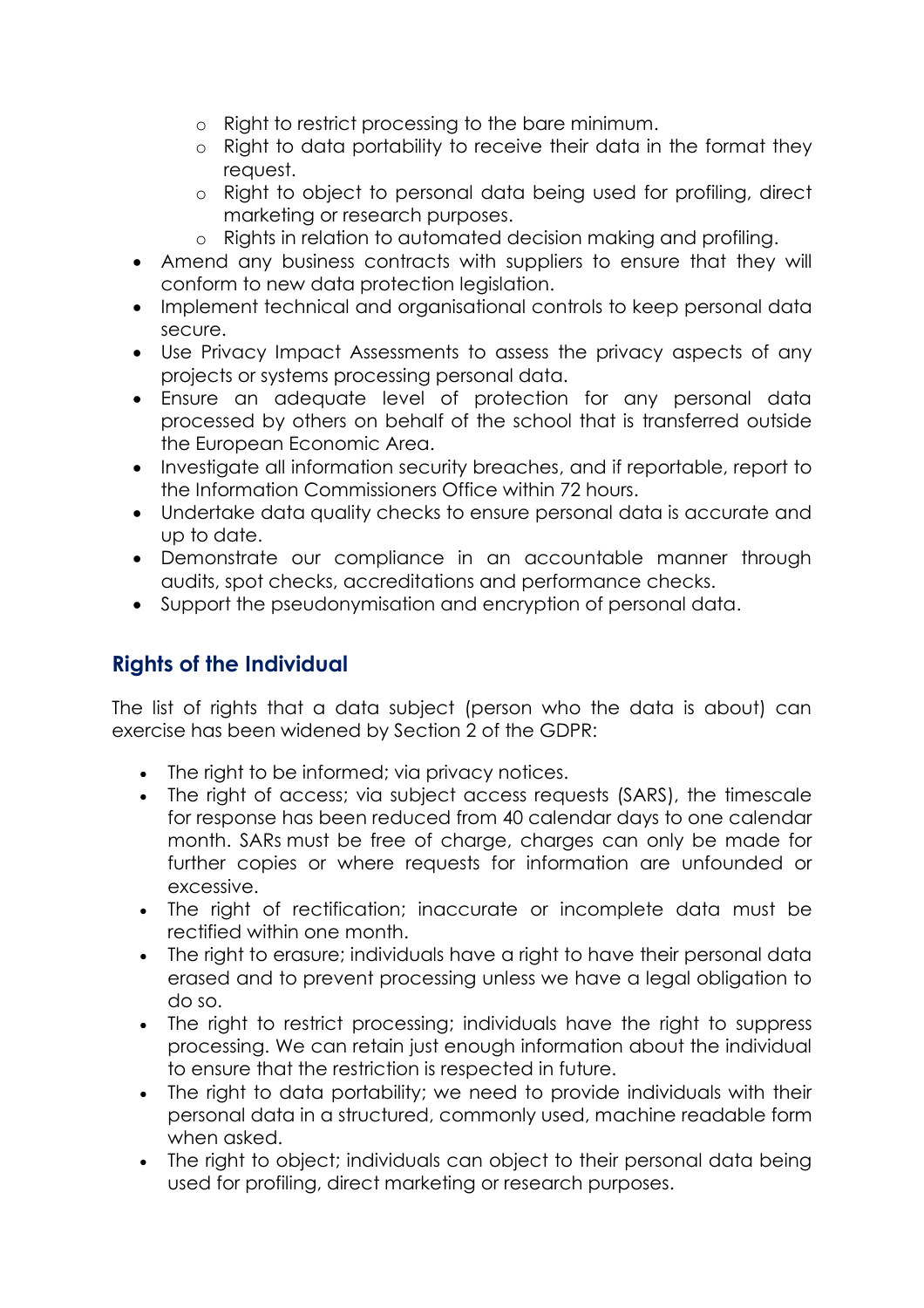- o Right to restrict processing to the bare minimum.
- o Right to data portability to receive their data in the format they request.
- o Right to object to personal data being used for profiling, direct marketing or research purposes.
- o Rights in relation to automated decision making and profiling.
- Amend any business contracts with suppliers to ensure that they will conform to new data protection legislation.
- Implement technical and organisational controls to keep personal data secure.
- Use Privacy Impact Assessments to assess the privacy aspects of any projects or systems processing personal data.
- Ensure an adequate level of protection for any personal data processed by others on behalf of the school that is transferred outside the European Economic Area.
- Investigate all information security breaches, and if reportable, report to the Information Commissioners Office within 72 hours.
- Undertake data quality checks to ensure personal data is accurate and up to date.
- Demonstrate our compliance in an accountable manner through audits, spot checks, accreditations and performance checks.
- Support the pseudonymisation and encryption of personal data.

# **Rights of the Individual**

The list of rights that a data subject (person who the data is about) can exercise has been widened by Section 2 of the GDPR:

- The right to be informed; via privacy notices.
- The right of access; via subject access requests (SARS), the timescale for response has been reduced from 40 calendar days to one calendar month. SARs must be free of charge, charges can only be made for further copies or where requests for information are unfounded or excessive.
- The right of rectification; inaccurate or incomplete data must be rectified within one month.
- The right to erasure; individuals have a right to have their personal data erased and to prevent processing unless we have a legal obligation to do so.
- The right to restrict processing; individuals have the right to suppress processing. We can retain just enough information about the individual to ensure that the restriction is respected in future.
- The right to data portability; we need to provide individuals with their personal data in a structured, commonly used, machine readable form when asked.
- The right to object; individuals can object to their personal data being used for profiling, direct marketing or research purposes.